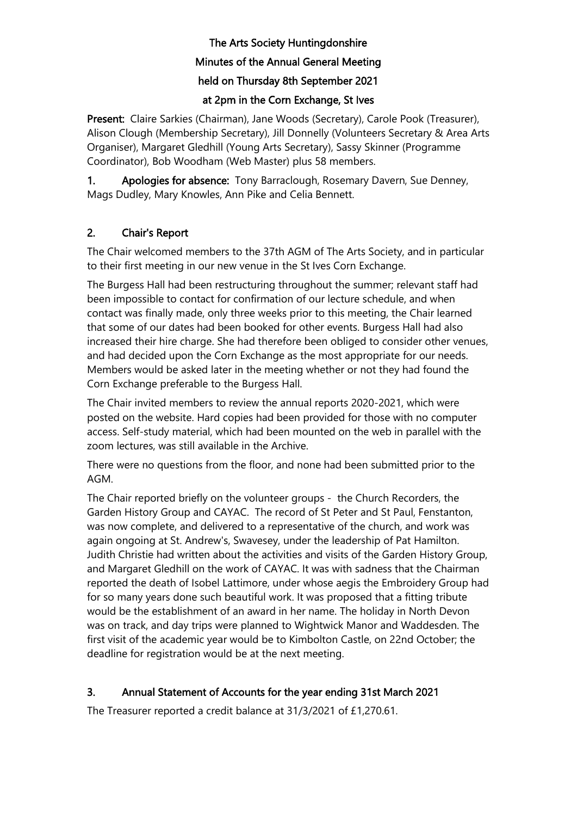# The Arts Society Huntingdonshire Minutes of the Annual General Meeting held on Thursday 8th September 2021

# at 2pm in the Corn Exchange, St Ives

Present: Claire Sarkies (Chairman), Jane Woods (Secretary), Carole Pook (Treasurer), Alison Clough (Membership Secretary), Jill Donnelly (Volunteers Secretary & Area Arts Organiser), Margaret Gledhill (Young Arts Secretary), Sassy Skinner (Programme Coordinator), Bob Woodham (Web Master) plus 58 members.

1. Apologies for absence: Tony Barraclough, Rosemary Davern, Sue Denney, Mags Dudley, Mary Knowles, Ann Pike and Celia Bennett.

# 2. Chair's Report

The Chair welcomed members to the 37th AGM of The Arts Society, and in particular to their first meeting in our new venue in the St Ives Corn Exchange.

The Burgess Hall had been restructuring throughout the summer; relevant staff had been impossible to contact for confirmation of our lecture schedule, and when contact was finally made, only three weeks prior to this meeting, the Chair learned that some of our dates had been booked for other events. Burgess Hall had also increased their hire charge. She had therefore been obliged to consider other venues, and had decided upon the Corn Exchange as the most appropriate for our needs. Members would be asked later in the meeting whether or not they had found the Corn Exchange preferable to the Burgess Hall.

The Chair invited members to review the annual reports 2020-2021, which were posted on the website. Hard copies had been provided for those with no computer access. Self-study material, which had been mounted on the web in parallel with the zoom lectures, was still available in the Archive.

There were no questions from the floor, and none had been submitted prior to the AGM.

The Chair reported briefly on the volunteer groups - the Church Recorders, the Garden History Group and CAYAC. The record of St Peter and St Paul, Fenstanton, was now complete, and delivered to a representative of the church, and work was again ongoing at St. Andrew's, Swavesey, under the leadership of Pat Hamilton. Judith Christie had written about the activities and visits of the Garden History Group, and Margaret Gledhill on the work of CAYAC. It was with sadness that the Chairman reported the death of Isobel Lattimore, under whose aegis the Embroidery Group had for so many years done such beautiful work. It was proposed that a fitting tribute would be the establishment of an award in her name. The holiday in North Devon was on track, and day trips were planned to Wightwick Manor and Waddesden. The first visit of the academic year would be to Kimbolton Castle, on 22nd October; the deadline for registration would be at the next meeting.

# 3. Annual Statement of Accounts for the year ending 31st March 2021

The Treasurer reported a credit balance at 31/3/2021 of £1,270.61.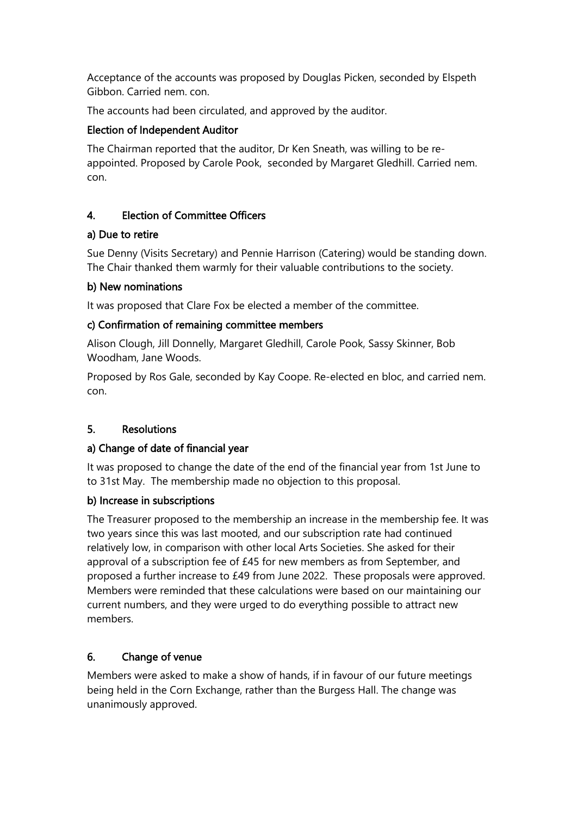Acceptance of the accounts was proposed by Douglas Picken, seconded by Elspeth Gibbon. Carried nem. con.

The accounts had been circulated, and approved by the auditor.

## Election of Independent Auditor

The Chairman reported that the auditor, Dr Ken Sneath, was willing to be reappointed. Proposed by Carole Pook, seconded by Margaret Gledhill. Carried nem. con.

#### 4. Election of Committee Officers

#### a) Due to retire

Sue Denny (Visits Secretary) and Pennie Harrison (Catering) would be standing down. The Chair thanked them warmly for their valuable contributions to the society.

#### b) New nominations

It was proposed that Clare Fox be elected a member of the committee.

#### c) Confirmation of remaining committee members

Alison Clough, Jill Donnelly, Margaret Gledhill, Carole Pook, Sassy Skinner, Bob Woodham, Jane Woods.

Proposed by Ros Gale, seconded by Kay Coope. Re-elected en bloc, and carried nem. con.

# 5. Resolutions

# a) Change of date of financial year

It was proposed to change the date of the end of the financial year from 1st June to to 31st May. The membership made no objection to this proposal.

# b) Increase in subscriptions

The Treasurer proposed to the membership an increase in the membership fee. It was two years since this was last mooted, and our subscription rate had continued relatively low, in comparison with other local Arts Societies. She asked for their approval of a subscription fee of £45 for new members as from September, and proposed a further increase to £49 from June 2022. These proposals were approved. Members were reminded that these calculations were based on our maintaining our current numbers, and they were urged to do everything possible to attract new members.

# 6. Change of venue

Members were asked to make a show of hands, if in favour of our future meetings being held in the Corn Exchange, rather than the Burgess Hall. The change was unanimously approved.